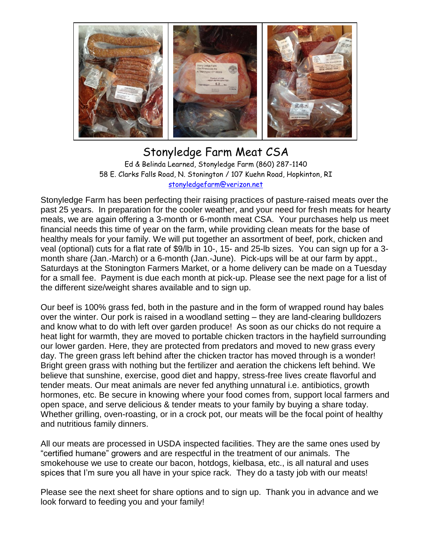

## Stonyledge Farm Meat CSA Ed & Belinda Learned, Stonyledge Farm (860) 287-1140 58 E. Clarks Falls Road, N. Stonington / 107 Kuehn Road, Hopkinton, RI [stonyledgefarm@verizon.net](mailto:stonyledgefarm@verizon.net)

Stonyledge Farm has been perfecting their raising practices of pasture-raised meats over the past 25 years. In preparation for the cooler weather, and your need for fresh meats for hearty meals, we are again offering a 3-month or 6-month meat CSA. Your purchases help us meet financial needs this time of year on the farm, while providing clean meats for the base of healthy meals for your family. We will put together an assortment of beef, pork, chicken and veal (optional) cuts for a flat rate of \$9/lb in 10-, 15- and 25-lb sizes. You can sign up for a 3 month share (Jan.-March) or a 6-month (Jan.-June). Pick-ups will be at our farm by appt., Saturdays at the Stonington Farmers Market, or a home delivery can be made on a Tuesday for a small fee. Payment is due each month at pick-up. Please see the next page for a list of the different size/weight shares available and to sign up.

Our beef is 100% grass fed, both in the pasture and in the form of wrapped round hay bales over the winter. Our pork is raised in a woodland setting – they are land-clearing bulldozers and know what to do with left over garden produce! As soon as our chicks do not require a heat light for warmth, they are moved to portable chicken tractors in the hayfield surrounding our lower garden. Here, they are protected from predators and moved to new grass every day. The green grass left behind after the chicken tractor has moved through is a wonder! Bright green grass with nothing but the fertilizer and aeration the chickens left behind. We believe that sunshine, exercise, good diet and happy, stress-free lives create flavorful and tender meats. Our meat animals are never fed anything unnatural i.e. antibiotics, growth hormones, etc. Be secure in knowing where your food comes from, support local farmers and open space, and serve delicious & tender meats to your family by buying a share today. Whether grilling, oven-roasting, or in a crock pot, our meats will be the focal point of healthy and nutritious family dinners.

All our meats are processed in USDA inspected facilities. They are the same ones used by "certified humane" growers and are respectful in the treatment of our animals. The smokehouse we use to create our bacon, hotdogs, kielbasa, etc., is all natural and uses spices that I'm sure you all have in your spice rack. They do a tasty job with our meats!

Please see the next sheet for share options and to sign up. Thank you in advance and we look forward to feeding you and your family!